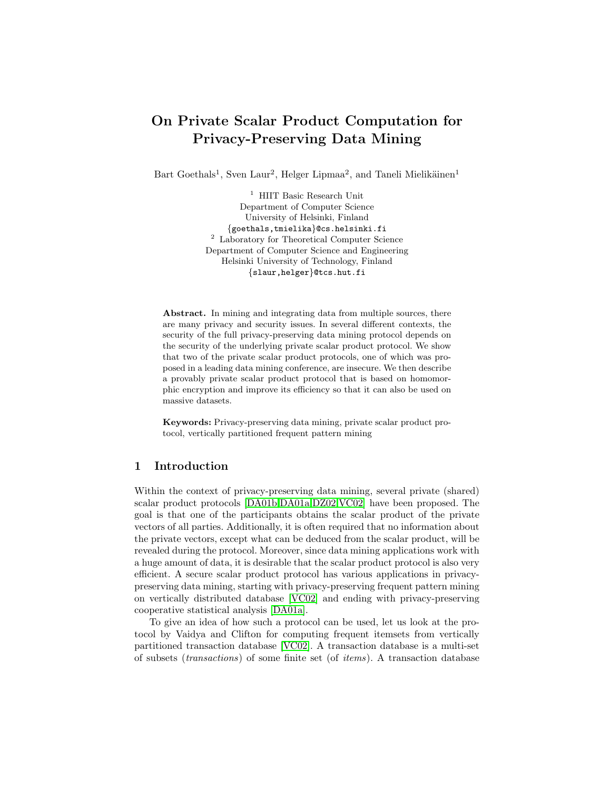# On Private Scalar Product Computation for Privacy-Preserving Data Mining

Bart Goethals<sup>1</sup>, Sven Laur<sup>2</sup>, Helger Lipmaa<sup>2</sup>, and Taneli Mielikäinen<sup>1</sup>

<sup>1</sup> HIIT Basic Research Unit Department of Computer Science University of Helsinki, Finland {goethals,tmielika}@cs.helsinki.fi <sup>2</sup> Laboratory for Theoretical Computer Science Department of Computer Science and Engineering Helsinki University of Technology, Finland {slaur,helger}@tcs.hut.fi

Abstract. In mining and integrating data from multiple sources, there are many privacy and security issues. In several different contexts, the security of the full privacy-preserving data mining protocol depends on the security of the underlying private scalar product protocol. We show that two of the private scalar product protocols, one of which was proposed in a leading data mining conference, are insecure. We then describe a provably private scalar product protocol that is based on homomorphic encryption and improve its efficiency so that it can also be used on massive datasets.

Keywords: Privacy-preserving data mining, private scalar product protocol, vertically partitioned frequent pattern mining

# 1 Introduction

Within the context of privacy-preserving data mining, several private (shared) scalar product protocols [\[DA01b,](#page-14-0)[DA01a](#page-14-1)[,DZ02,](#page-14-2)[VC02\]](#page-15-0) have been proposed. The goal is that one of the participants obtains the scalar product of the private vectors of all parties. Additionally, it is often required that no information about the private vectors, except what can be deduced from the scalar product, will be revealed during the protocol. Moreover, since data mining applications work with a huge amount of data, it is desirable that the scalar product protocol is also very efficient. A secure scalar product protocol has various applications in privacypreserving data mining, starting with privacy-preserving frequent pattern mining on vertically distributed database [\[VC02\]](#page-15-0) and ending with privacy-preserving cooperative statistical analysis [\[DA01a\]](#page-14-1).

To give an idea of how such a protocol can be used, let us look at the protocol by Vaidya and Clifton for computing frequent itemsets from vertically partitioned transaction database [\[VC02\]](#page-15-0). A transaction database is a multi-set of subsets (transactions) of some finite set (of items). A transaction database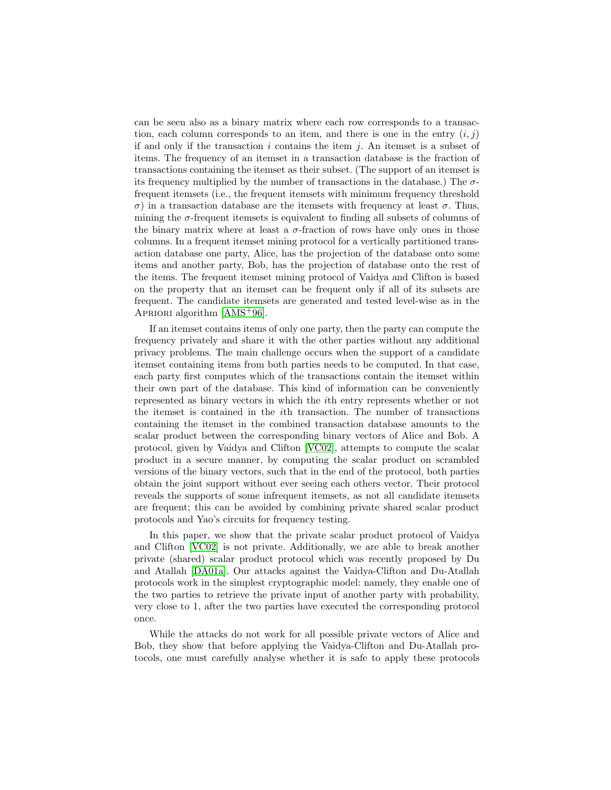can be seen also as a binary matrix where each row corresponds to a transaction, each column corresponds to an item, and there is one in the entry  $(i, j)$ if and only if the transaction  $i$  contains the item  $j$ . An itemset is a subset of items. The frequency of an itemset in a transaction database is the fraction of transactions containing the itemset as their subset. (The support of an itemset is its frequency multiplied by the number of transactions in the database.) The  $\sigma$ frequent itemsets (i.e., the frequent itemsets with minimum frequency threshold σ) in a transaction database are the itemsets with frequency at least σ. Thus, mining the  $\sigma$ -frequent itemsets is equivalent to finding all subsets of columns of the binary matrix where at least a  $\sigma$ -fraction of rows have only ones in those columns. In a frequent itemset mining protocol for a vertically partitioned transaction database one party, Alice, has the projection of the database onto some items and another party, Bob, has the projection of database onto the rest of the items. The frequent itemset mining protocol of Vaidya and Clifton is based on the property that an itemset can be frequent only if all of its subsets are frequent. The candidate itemsets are generated and tested level-wise as in the APRIORI algorithm  $[AMS<sup>+</sup>96]$  $[AMS<sup>+</sup>96]$ .

If an itemset contains items of only one party, then the party can compute the frequency privately and share it with the other parties without any additional privacy problems. The main challenge occurs when the support of a candidate itemset containing items from both parties needs to be computed. In that case, each party first computes which of the transactions contain the itemset within their own part of the database. This kind of information can be conveniently represented as binary vectors in which the ith entry represents whether or not the itemset is contained in the ith transaction. The number of transactions containing the itemset in the combined transaction database amounts to the scalar product between the corresponding binary vectors of Alice and Bob. A protocol, given by Vaidya and Clifton [\[VC02\]](#page-15-0), attempts to compute the scalar product in a secure manner, by computing the scalar product on scrambled versions of the binary vectors, such that in the end of the protocol, both parties obtain the joint support without ever seeing each others vector. Their protocol reveals the supports of some infrequent itemsets, as not all candidate itemsets are frequent; this can be avoided by combining private shared scalar product protocols and Yao's circuits for frequency testing.

In this paper, we show that the private scalar product protocol of Vaidya and Clifton [\[VC02\]](#page-15-0) is not private. Additionally, we are able to break another private (shared) scalar product protocol which was recently proposed by Du and Atallah [\[DA01a\]](#page-14-1). Our attacks against the Vaidya-Clifton and Du-Atallah protocols work in the simplest cryptographic model: namely, they enable one of the two parties to retrieve the private input of another party with probability, very close to 1, after the two parties have executed the corresponding protocol once.

While the attacks do not work for all possible private vectors of Alice and Bob, they show that before applying the Vaidya-Clifton and Du-Atallah protocols, one must carefully analyse whether it is safe to apply these protocols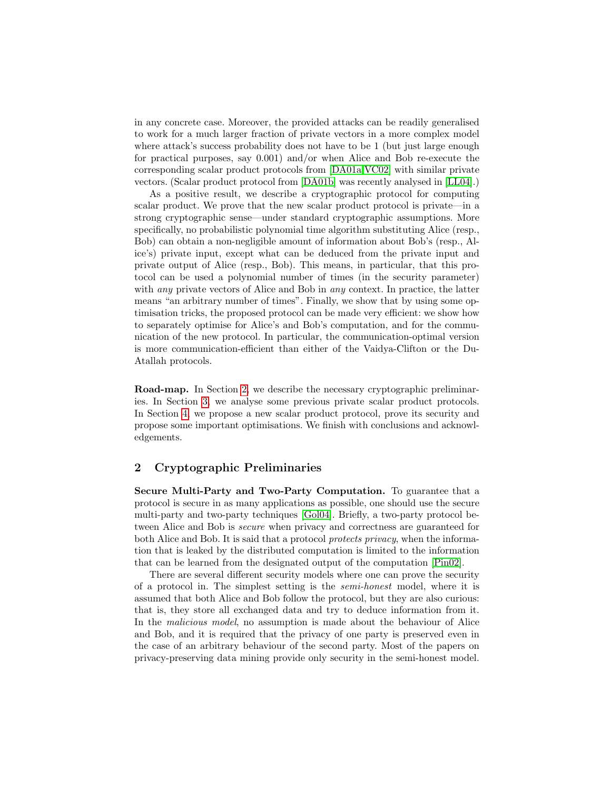in any concrete case. Moreover, the provided attacks can be readily generalised to work for a much larger fraction of private vectors in a more complex model where attack's success probability does not have to be 1 (but just large enough for practical purposes, say 0.001) and/or when Alice and Bob re-execute the corresponding scalar product protocols from [\[DA01a](#page-14-1)[,VC02\]](#page-15-0) with similar private vectors. (Scalar product protocol from [\[DA01b\]](#page-14-0) was recently analysed in [\[LL04\]](#page-14-3).)

As a positive result, we describe a cryptographic protocol for computing scalar product. We prove that the new scalar product protocol is private—in a strong cryptographic sense—under standard cryptographic assumptions. More specifically, no probabilistic polynomial time algorithm substituting Alice (resp., Bob) can obtain a non-negligible amount of information about Bob's (resp., Alice's) private input, except what can be deduced from the private input and private output of Alice (resp., Bob). This means, in particular, that this protocol can be used a polynomial number of times (in the security parameter) with *any* private vectors of Alice and Bob in *any* context. In practice, the latter means "an arbitrary number of times". Finally, we show that by using some optimisation tricks, the proposed protocol can be made very efficient: we show how to separately optimise for Alice's and Bob's computation, and for the communication of the new protocol. In particular, the communication-optimal version is more communication-efficient than either of the Vaidya-Clifton or the Du-Atallah protocols.

Road-map. In Section [2,](#page-2-0) we describe the necessary cryptographic preliminaries. In Section [3,](#page-3-0) we analyse some previous private scalar product protocols. In Section [4,](#page-9-0) we propose a new scalar product protocol, prove its security and propose some important optimisations. We finish with conclusions and acknowledgements.

# <span id="page-2-0"></span>2 Cryptographic Preliminaries

Secure Multi-Party and Two-Party Computation. To guarantee that a protocol is secure in as many applications as possible, one should use the secure multi-party and two-party techniques [\[Gol04\]](#page-14-4). Briefly, a two-party protocol between Alice and Bob is secure when privacy and correctness are guaranteed for both Alice and Bob. It is said that a protocol protects privacy, when the information that is leaked by the distributed computation is limited to the information that can be learned from the designated output of the computation [\[Pin02\]](#page-15-1).

There are several different security models where one can prove the security of a protocol in. The simplest setting is the semi-honest model, where it is assumed that both Alice and Bob follow the protocol, but they are also curious: that is, they store all exchanged data and try to deduce information from it. In the malicious model, no assumption is made about the behaviour of Alice and Bob, and it is required that the privacy of one party is preserved even in the case of an arbitrary behaviour of the second party. Most of the papers on privacy-preserving data mining provide only security in the semi-honest model.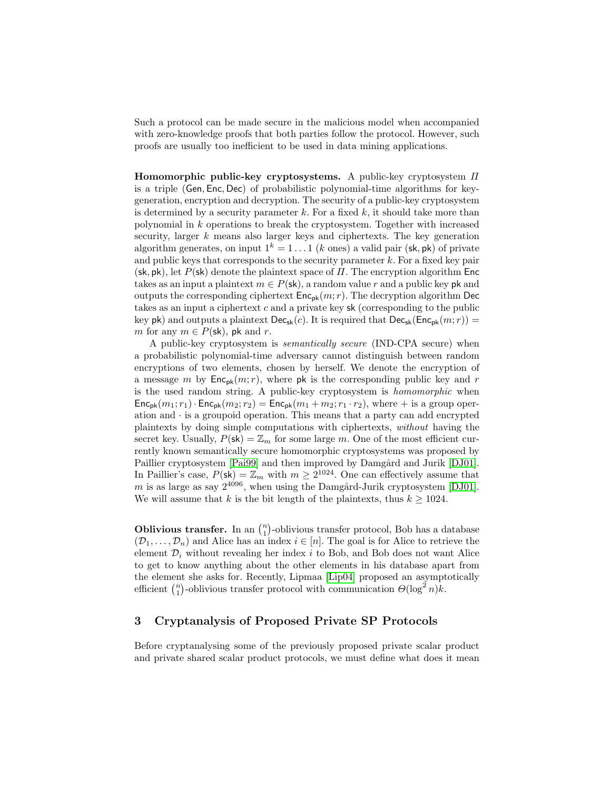Such a protocol can be made secure in the malicious model when accompanied with zero-knowledge proofs that both parties follow the protocol. However, such proofs are usually too inefficient to be used in data mining applications.

Homomorphic public-key cryptosystems. A public-key cryptosystem  $\Pi$ is a triple (Gen, Enc, Dec) of probabilistic polynomial-time algorithms for keygeneration, encryption and decryption. The security of a public-key cryptosystem is determined by a security parameter  $k$ . For a fixed  $k$ , it should take more than polynomial in k operations to break the cryptosystem. Together with increased security, larger  $k$  means also larger keys and ciphertexts. The key generation algorithm generates, on input  $1^k = 1 \dots 1$  (k ones) a valid pair (sk, pk) of private and public keys that corresponds to the security parameter  $k$ . For a fixed key pair (sk, pk), let  $P$ (sk) denote the plaintext space of  $\Pi$ . The encryption algorithm Enc takes as an input a plaintext  $m \in P(\mathsf{sk})$ , a random value r and a public key pk and outputs the corresponding ciphertext  $\mathsf{Enc}_{pk}(m; r)$ . The decryption algorithm Dec takes as an input a ciphertext  $c$  and a private key sk (corresponding to the public key pk) and outputs a plaintext  $\mathsf{Dec}_{\mathsf{sk}}(c)$ . It is required that  $\mathsf{Dec}_{\mathsf{sk}}(\mathsf{Enc}_{\mathsf{pk}}(m; r)) =$ m for any  $m \in P(\mathsf{sk})$ , pk and r.

A public-key cryptosystem is semantically secure (IND-CPA secure) when a probabilistic polynomial-time adversary cannot distinguish between random encryptions of two elements, chosen by herself. We denote the encryption of a message m by  $Enc_{pk}(m; r)$ , where pk is the corresponding public key and r is the used random string. A public-key cryptosystem is homomorphic when  $\mathsf{Enc}_{\mathsf{pk}}(m_1; r_1) \cdot \mathsf{Enc}_{\mathsf{pk}}(m_2; r_2) = \mathsf{Enc}_{\mathsf{pk}}(m_1 + m_2; r_1 \cdot r_2)$ , where  $+$  is a group operation and  $\cdot$  is a groupoid operation. This means that a party can add encrypted plaintexts by doing simple computations with ciphertexts, without having the secret key. Usually,  $P(\mathsf{sk}) = \mathbb{Z}_m$  for some large m. One of the most efficient currently known semantically secure homomorphic cryptosystems was proposed by Paillier cryptosystem [\[Pai99\]](#page-15-2) and then improved by Damgård and Jurik [\[DJ01\]](#page-14-5). In Paillier's case,  $P(\mathsf{sk}) = \mathbb{Z}_m$  with  $m \geq 2^{1024}$ . One can effectively assume that m is as large as say  $2^{4096}$ , when using the Damgård-Jurik cryptosystem [\[DJ01\]](#page-14-5). We will assume that k is the bit length of the plaintexts, thus  $k \ge 1024$ .

**Oblivious transfer.** In an  $\binom{n}{1}$ -oblivious transfer protocol, Bob has a database  $(\mathcal{D}_1, \ldots, \mathcal{D}_n)$  and Alice has an index  $i \in [n]$ . The goal is for Alice to retrieve the element  $\mathcal{D}_i$  without revealing her index i to Bob, and Bob does not want Alice to get to know anything about the other elements in his database apart from the element she asks for. Recently, Lipmaa [\[Lip04\]](#page-14-6) proposed an asymptotically efficient  $\binom{n}{1}$ -oblivious transfer protocol with communication  $\Theta(\log^2 n)k$ .

## <span id="page-3-0"></span>3 Cryptanalysis of Proposed Private SP Protocols

Before cryptanalysing some of the previously proposed private scalar product and private shared scalar product protocols, we must define what does it mean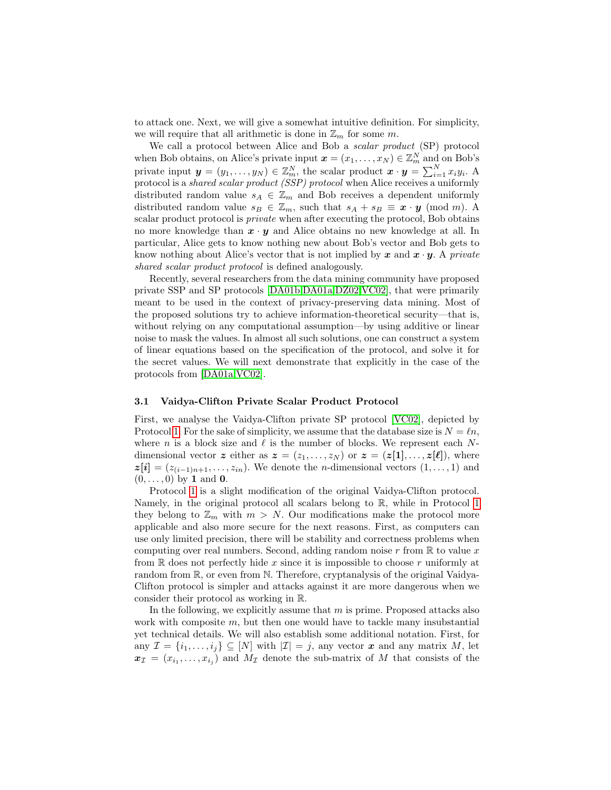to attack one. Next, we will give a somewhat intuitive definition. For simplicity, we will require that all arithmetic is done in  $\mathbb{Z}_m$  for some m.

We call a protocol between Alice and Bob a scalar product (SP) protocol when Bob obtains, on Alice's private input  $\mathbf{x} = (x_1, \dots, x_N) \in \mathbb{Z}_m^N$  and on Bob's private input  $\mathbf{y} = (y_1, \dots, y_N) \in \mathbb{Z}_m^N$ , the scalar product  $\mathbf{x} \cdot \mathbf{y} = \sum_{i=1}^N x_i y_i$ . A protocol is a *shared scalar product (SSP) protocol* when Alice receives a uniformly distributed random value  $s_A \in \mathbb{Z}_m$  and Bob receives a dependent uniformly distributed random value  $s_B \in \mathbb{Z}_m$ , such that  $s_A + s_B \equiv \mathbf{x} \cdot \mathbf{y} \pmod{m}$ . A scalar product protocol is private when after executing the protocol, Bob obtains no more knowledge than  $x \cdot y$  and Alice obtains no new knowledge at all. In particular, Alice gets to know nothing new about Bob's vector and Bob gets to know nothing about Alice's vector that is not implied by x and  $x \cdot y$ . A private shared scalar product protocol is defined analogously.

Recently, several researchers from the data mining community have proposed private SSP and SP protocols [\[DA01b,](#page-14-0)[DA01a](#page-14-1)[,DZ02](#page-14-2)[,VC02\]](#page-15-0), that were primarily meant to be used in the context of privacy-preserving data mining. Most of the proposed solutions try to achieve information-theoretical security—that is, without relying on any computational assumption—by using additive or linear noise to mask the values. In almost all such solutions, one can construct a system of linear equations based on the specification of the protocol, and solve it for the secret values. We will next demonstrate that explicitly in the case of the protocols from [\[DA01a,](#page-14-1)[VC02\]](#page-15-0).

#### 3.1 Vaidya-Clifton Private Scalar Product Protocol

First, we analyse the Vaidya-Clifton private SP protocol [\[VC02\]](#page-15-0), depicted by Protocol [1.](#page-5-0) For the sake of simplicity, we assume that the database size is  $N = \ell n$ , where n is a block size and  $\ell$  is the number of blocks. We represent each Ndimensional vector z either as  $z = (z_1, \ldots, z_N)$  or  $z = (z[1], \ldots, z[\ell])$ , where  $z[i] = (z_{(i-1)n+1}, \ldots, z_{in}).$  We denote the *n*-dimensional vectors  $(1, \ldots, 1)$  and  $(0, \ldots, 0)$  by 1 and 0.

Protocol [1](#page-5-0) is a slight modification of the original Vaidya-Clifton protocol. Namely, in the original protocol all scalars belong to R, while in Protocol [1](#page-5-0) they belong to  $\mathbb{Z}_m$  with  $m > N$ . Our modifications make the protocol more applicable and also more secure for the next reasons. First, as computers can use only limited precision, there will be stability and correctness problems when computing over real numbers. Second, adding random noise r from  $\mathbb R$  to value x from  $\mathbb R$  does not perfectly hide x since it is impossible to choose r uniformly at random from  $\mathbb{R}$ , or even from  $\mathbb{N}$ . Therefore, cryptanalysis of the original Vaidya-Clifton protocol is simpler and attacks against it are more dangerous when we consider their protocol as working in R.

In the following, we explicitly assume that  $m$  is prime. Proposed attacks also work with composite  $m$ , but then one would have to tackle many insubstantial yet technical details. We will also establish some additional notation. First, for any  $\mathcal{I} = \{i_1, \ldots, i_j\} \subseteq [N]$  with  $|\mathcal{I}| = j$ , any vector x and any matrix M, let  $\boldsymbol{x}_{\mathcal{I}} = (x_{i_1}, \ldots, x_{i_j})$  and  $M_{\mathcal{I}}$  denote the sub-matrix of M that consists of the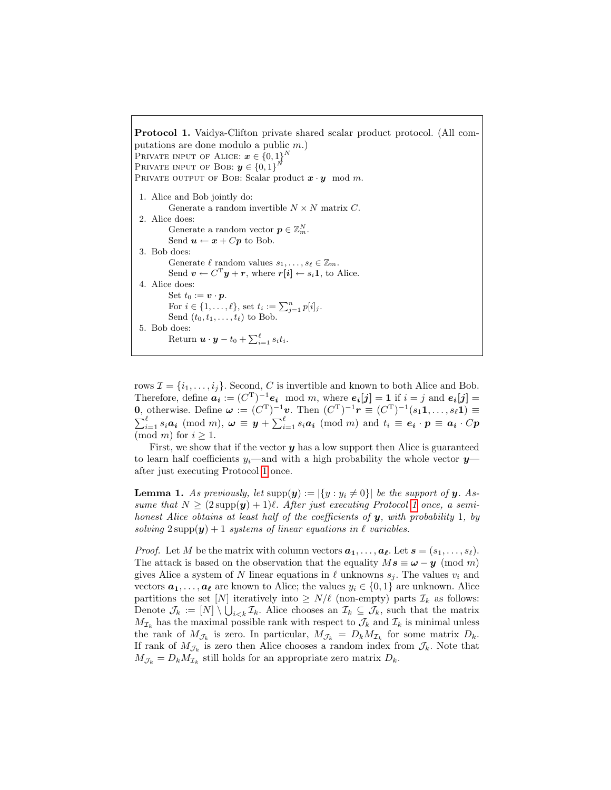<span id="page-5-0"></span>Protocol 1. Vaidya-Clifton private shared scalar product protocol. (All computations are done modulo a public m.) PRIVATE INPUT OF ALICE:  $\boldsymbol{x} \in \{0,1\}^N$ Private input of Bob:  $y \in \{0,1\}^N$ PRIVATE OUTPUT OF BOB: Scalar product  $x \cdot y \mod m$ . 1. Alice and Bob jointly do: Generate a random invertible  $N \times N$  matrix C. 2. Alice does: Generate a random vector  $p \in \mathbb{Z}_m^N$ . Send  $u \leftarrow x + Cp$  to Bob. 3. Bob does: Generate  $\ell$  random values  $s_1, \ldots, s_\ell \in \mathbb{Z}_m$ . Send  $\boldsymbol{v} \leftarrow C^{\mathrm{T}} \boldsymbol{y} + \boldsymbol{r}$ , where  $\boldsymbol{r}[i] \leftarrow s_i \boldsymbol{1}$ , to Alice. 4. Alice does: Set  $t_0 := \boldsymbol{v} \cdot \boldsymbol{p}$ . For  $i \in \{1, ..., \ell\}$ , set  $t_i := \sum_{j=1}^n p[i]_j$ . Send  $(t_0, t_1, \ldots, t_\ell)$  to Bob. 5. Bob does: Return  $\boldsymbol{u} \cdot \boldsymbol{y} - t_0 + \sum_{i=1}^{\ell} s_i t_i$ .

rows  $\mathcal{I} = \{i_1, \ldots, i_j\}$ . Second, C is invertible and known to both Alice and Bob. Therefore, define  $a_i := (C^T)^{-1}e_i \mod m$ , where  $e_i[j] = 1$  if  $i = j$  and  $e_i[j] =$ **0**, otherwise. Define  $\omega := (C^{T})^{-1}v$ . Then  $(C^{T})^{-1}r \equiv (C^{T})^{-1}(s_{1}1, \ldots, s_{\ell}1) \equiv$  $\sum_{i=1}^{\ell} s_i a_i \pmod{m}$ ,  $\boldsymbol{\omega} \equiv \boldsymbol{y} + \sum_{i=1}^{\ell} s_i a_i \pmod{m}$  and  $t_i \equiv \boldsymbol{e_i} \cdot \boldsymbol{p} \equiv \boldsymbol{a_i} \cdot C\boldsymbol{p}$  $\pmod{m}$  for  $i \geq 1$ .

First, we show that if the vector  $y$  has a low support then Alice is guaranteed to learn half coefficients  $y_i$ —and with a high probability the whole vector  $y$  after just executing Protocol [1](#page-5-0) once.

<span id="page-5-1"></span>**Lemma 1.** As previously, let  $\text{supp}(\mathbf{y}) := |\{y : y_i \neq 0\}|$  be the support of **y**. Assume that  $N \geq (2 \text{supp}(\boldsymbol{y}) + 1)\ell$  $N \geq (2 \text{supp}(\boldsymbol{y}) + 1)\ell$  $N \geq (2 \text{supp}(\boldsymbol{y}) + 1)\ell$ . After just executing Protocol 1 once, a semihonest Alice obtains at least half of the coefficients of  $y$ , with probability 1, by solving  $2 \text{ supp}(\mathbf{y}) + 1$  systems of linear equations in  $\ell$  variables.

*Proof.* Let M be the matrix with column vectors  $a_1, \ldots, a_\ell$ . Let  $s = (s_1, \ldots, s_\ell)$ . The attack is based on the observation that the equality  $Ms \equiv \omega - y \pmod{m}$ gives Alice a system of N linear equations in  $\ell$  unknowns  $s_j$ . The values  $v_i$  and vectors  $a_1, \ldots, a_\ell$  are known to Alice; the values  $y_i \in \{0, 1\}$  are unknown. Alice partitions the set [N] iteratively into  $\geq N/\ell$  (non-empty) parts  $\mathcal{I}_k$  as follows: Denote  $\mathcal{J}_k := [N] \setminus \bigcup_{i \leq k} \mathcal{I}_k$ . Alice chooses an  $\mathcal{I}_k \subseteq \mathcal{J}_k$ , such that the matrix  $M_{\mathcal{I}_k}$  has the maximal possible rank with respect to  $\mathcal{J}_k$  and  $\mathcal{I}_k$  is minimal unless the rank of  $M_{\mathcal{J}_k}$  is zero. In particular,  $M_{\mathcal{J}_k} = D_k M_{\mathcal{I}_k}$  for some matrix  $D_k$ . If rank of  $M_{\mathcal{J}_k}$  is zero then Alice chooses a random index from  $\mathcal{J}_k$ . Note that  $M_{\mathcal{J}_k} = D_k M_{\mathcal{I}_k}$  still holds for an appropriate zero matrix  $D_k$ .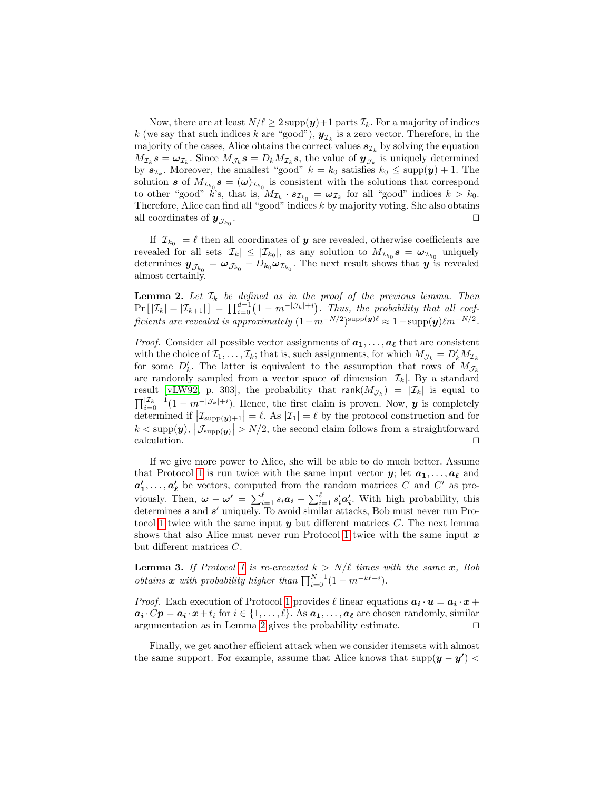Now, there are at least  $N/\ell \geq 2 \text{supp}(\boldsymbol{y})+1$  parts  $\mathcal{I}_k$ . For a majority of indices k (we say that such indices k are "good"),  $y_{\mathcal{I}_k}$  is a zero vector. Therefore, in the majority of the cases, Alice obtains the correct values  $s_{\mathcal{I}_k}$  by solving the equation  $M_{\mathcal{I}_k} s = \omega_{\mathcal{I}_k}$ . Since  $M_{\mathcal{J}_k} s = D_k M_{\mathcal{I}_k} s$ , the value of  $\mathbf{y}_{\mathcal{J}_k}$  is uniquely determined by  $s_{\mathcal{I}_k}$ . Moreover, the smallest "good"  $k = k_0$  satisfies  $k_0 \leq \text{supp}(y) + 1$ . The solution s of  $M_{\mathcal{I}_{k_0}} s = (\omega)_{\mathcal{I}_{k_0}}$  is consistent with the solutions that correspond to other "good"  $\tilde{k}$ 's, that is,  $M_{\mathcal{I}_k} \cdot s_{\mathcal{I}_{k_0}} = \omega_{\mathcal{I}_k}$  for all "good" indices  $k > k_0$ . Therefore, Alice can find all "good" indices  $k$  by majority voting. She also obtains all coordinates of  $y_{\mathcal{J}_{k_0}}$ . . The contract of the contract of the contract of the contract of the contract of the contract of the contract of the contract of the contract of the contract of the contract of the contract of the contract of the contract

If  $|\mathcal{I}_{k_0}| = \ell$  then all coordinates of  $y$  are revealed, otherwise coefficients are revealed for all sets  $|\mathcal{I}_k| \leq |\mathcal{I}_{k_0}|$ , as any solution to  $M_{\mathcal{I}_{k_0}} s = \omega_{\mathcal{I}_{k_0}}$  uniquely determines  $y_{\mathcal{J}_{k_0}} = \omega_{\mathcal{J}_{k_0}} - D_{k_0} \omega_{\mathcal{I}_{k_0}}$ . The next result shows that  $y$  is revealed almost certainly.

<span id="page-6-0"></span>**Lemma 2.** Let  $\mathcal{I}_k$  be defined as in the proof of the previous lemma. Then  $Pr [|\mathcal{I}_k| = |\mathcal{I}_{k+1}|] = \prod_{i=0}^{d-1} (1 - m^{-|\mathcal{J}_k|+i}).$  Thus, the probability that all coefficients are revealed is approximately  $(1 - m^{-N/2})^{\text{supp}(\bm{y})\ell} \approx 1 - \text{supp}(\bm{y})\ell m^{-N/2}.$ 

*Proof.* Consider all possible vector assignments of  $a_1, \ldots, a_\ell$  that are consistent with the choice of  $\mathcal{I}_1, \ldots, \mathcal{I}_k$ ; that is, such assignments, for which  $M_{\mathcal{J}_k} = D'_k M_{\mathcal{I}_k}$ for some  $D'_k$ . The latter is equivalent to the assumption that rows of  $M_{\mathcal{J}_k}$ are randomly sampled from a vector space of dimension  $|\mathcal{I}_k|$ . By a standard result [\[vLW92,](#page-15-3) p. 303], the probability that  $rank(M_{\mathcal{J}_k}) = |\mathcal{I}_k|$  is equal to  $\prod_{i=0}^{|\mathcal{I}_k|-1}(1-m^{-|\mathcal{J}_k|+i}).$  Hence, the first claim is proven. Now, y is completely determined if  $|\mathcal{I}_{\text{supp}(\boldsymbol{y})+1}| = \ell$ . As  $|\mathcal{I}_1| = \ell$  by the protocol construction and for  $k < \text{supp}(\boldsymbol{y}), |\mathcal{J}_{\text{supp}(\boldsymbol{y})}| > N/2$ , the second claim follows from a straightforward calculation.  $\Box$ 

If we give more power to Alice, she will be able to do much better. Assume that Protocol [1](#page-5-0) is run twice with the same input vector  $y$ ; let  $a_1, \ldots, a_{\ell}$  and  $a'_1, \ldots, a'_\ell$  be vectors, computed from the random matrices C and C' as previously. Then,  $\omega - \omega' = \sum_{i=1}^{\ell} s_i a_i - \sum_{i=1}^{\ell} s'_i a'_i$ . With high probability, this determines s and s' uniquely. To avoid similar attacks, Bob must never run Pro-tocol [1](#page-5-0) twice with the same input  $\boldsymbol{\eta}$  but different matrices C. The next lemma shows that also Alice must never run Protocol [1](#page-5-0) twice with the same input  $x$ but different matrices C.

**Lemma 3.** If Protocol [1](#page-5-0) is re-executed  $k > N/\ell$  times with the same x, Bob *obtains*  $x$  with probability higher than  $\prod_{i=0}^{N-1} (1 - m^{-k\ell+i}).$ 

*Proof.* Each execution of Protocol [1](#page-5-0) provides  $\ell$  linear equations  $a_i \cdot u = a_i \cdot x +$  $a_i \cdot Cp = a_i \cdot x + t_i$  for  $i \in \{1, ..., \ell\}$ . As  $a_1, ..., a_\ell$  are chosen randomly, similar argumentation as in Lemma [2](#page-6-0) gives the probability estimate.  $\Box$ 

Finally, we get another efficient attack when we consider itemsets with almost the same support. For example, assume that Alice knows that  $\text{supp}(\bm{y} - \bm{y}')$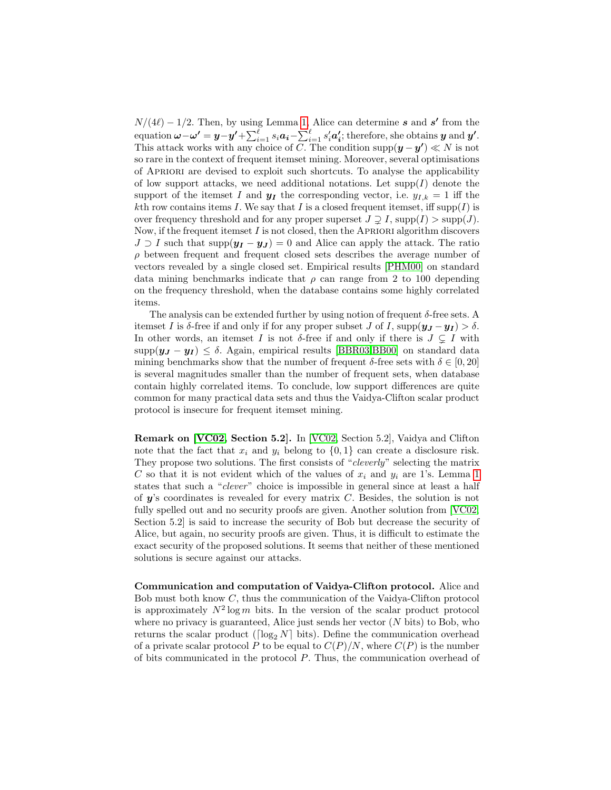$N/(4\ell) - 1/2$ . Then, by using Lemma [1,](#page-5-1) Alice can determine s and s' from the equation  $\boldsymbol{\omega} - \boldsymbol{\omega'} = \boldsymbol{y} - \boldsymbol{y'} + \sum_{i=1}^{\ell} s_i \boldsymbol{a_i} - \sum_{i=1}^{\ell} s_i' \boldsymbol{a_i'}$ ; therefore, she obtains  $\boldsymbol{y}$  and  $\boldsymbol{y'}$ . This attack works with any choice of C. The condition supp $(\mathbf{y} - \mathbf{y}') \ll N$  is not so rare in the context of frequent itemset mining. Moreover, several optimisations of Apriori are devised to exploit such shortcuts. To analyse the applicability of low support attacks, we need additional notations. Let  $\text{supp}(I)$  denote the support of the itemset I and  $y_I$  the corresponding vector, i.e.  $y_{I,k} = 1$  iff the kth row contains items I. We say that I is a closed frequent itemset, iff  $\text{supp}(I)$  is over frequency threshold and for any proper superset  $J \supsetneq I$ , supp $(I) > \text{supp}(J)$ . Now, if the frequent itemset  $I$  is not closed, then the APRIORI algorithm discovers  $J \supset I$  such that supp $(y_I - y_J) = 0$  and Alice can apply the attack. The ratio  $\rho$  between frequent and frequent closed sets describes the average number of vectors revealed by a single closed set. Empirical results [\[PHM00\]](#page-15-4) on standard data mining benchmarks indicate that  $\rho$  can range from 2 to 100 depending on the frequency threshold, when the database contains some highly correlated items.

The analysis can be extended further by using notion of frequent  $\delta$ -free sets. A itemset I is δ-free if and only if for any proper subset J of I, supp $(y_J - y_I) > \delta$ . In other words, an itemset I is not  $\delta$ -free if and only if there is  $J \subsetneq I$  with supp $(y_J - y_I) \leq \delta$ . Again, empirical results [\[BBR03](#page-14-7), BB00] on standard data mining benchmarks show that the number of frequent  $\delta$ -free sets with  $\delta \in [0, 20]$ is several magnitudes smaller than the number of frequent sets, when database contain highly correlated items. To conclude, low support differences are quite common for many practical data sets and thus the Vaidya-Clifton scalar product protocol is insecure for frequent itemset mining.

Remark on [\[VC02,](#page-15-0) Section 5.2]. In [\[VC02,](#page-15-0) Section 5.2], Vaidya and Clifton note that the fact that  $x_i$  and  $y_i$  belong to  $\{0,1\}$  can create a disclosure risk. They propose two solutions. The first consists of "cleverly" selecting the matrix C so that it is not evident which of the values of  $x_i$  and  $y_i$  are [1](#page-5-1)'s. Lemma 1 states that such a "clever" choice is impossible in general since at least a half of  $y$ 's coordinates is revealed for every matrix C. Besides, the solution is not fully spelled out and no security proofs are given. Another solution from [\[VC02,](#page-15-0) Section 5.2] is said to increase the security of Bob but decrease the security of Alice, but again, no security proofs are given. Thus, it is difficult to estimate the exact security of the proposed solutions. It seems that neither of these mentioned solutions is secure against our attacks.

Communication and computation of Vaidya-Clifton protocol. Alice and Bob must both know C, thus the communication of the Vaidya-Clifton protocol is approximately  $N^2 \log m$  bits. In the version of the scalar product protocol where no privacy is guaranteed, Alice just sends her vector  $(N \text{ bits})$  to Bob, who returns the scalar product ( $\lceil \log_2 N \rceil$  bits). Define the communication overhead of a private scalar protocol P to be equal to  $C(P)/N$ , where  $C(P)$  is the number of bits communicated in the protocol P. Thus, the communication overhead of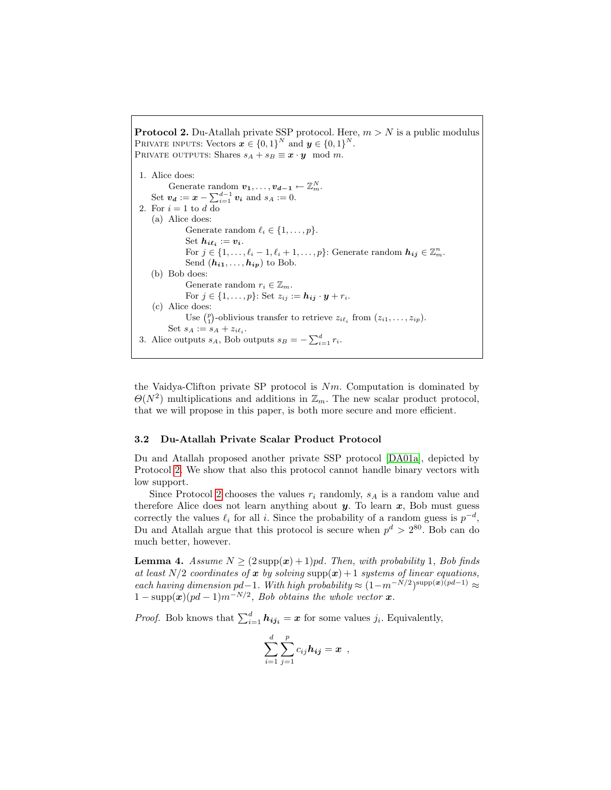<span id="page-8-0"></span>**Protocol 2.** Du-Atallah private SSP protocol. Here,  $m > N$  is a public modulus PRIVATE INPUTS: Vectors  $\boldsymbol{x} \in \{0,1\}^N$  and  $\boldsymbol{y} \in \{0,1\}^N$ . PRIVATE OUTPUTS: Shares  $s_A + s_B \equiv x \cdot y \mod m$ .

1. Alice does: Generate random  $v_1, \ldots, v_{d-1} \leftarrow \mathbb{Z}_m^N$ . Set  $v_d := x - \sum_{i=1}^{d-1} v_i$  and  $s_A := 0$ . 2. For  $i = 1$  to d do (a) Alice does: Generate random  $\ell_i \in \{1, \ldots, p\}.$ Set  $h_{i\ell_i} := v_i$ . For  $j \in \{1, \ldots, \ell_i - 1, \ell_i + 1, \ldots, p\}$ : Generate random  $\mathbf{h_{ij}} \in \mathbb{Z}_{m}^n$ . Send  $(h_{i1}, \ldots, h_{ip})$  to Bob. (b) Bob does: Generate random  $r_i \in \mathbb{Z}_m$ . For  $j \in \{1, \ldots, p\}$ : Set  $z_{ij} := h_{ij} \cdot y + r_i$ . (c) Alice does: Use  $\binom{p}{1}$ -oblivious transfer to retrieve  $z_{i\ell_i}$  from  $(z_{i1}, \ldots, z_{ip})$ . Set  $s_A := s_A + z_{i\ell_i}$ . 3. Alice outputs  $s_A$ , Bob outputs  $s_B = -\sum_{i=1}^d r_i$ .

the Vaidya-Clifton private SP protocol is  $Nm$ . Computation is dominated by  $\Theta(N^2)$  multiplications and additions in  $\mathbb{Z}_m$ . The new scalar product protocol, that we will propose in this paper, is both more secure and more efficient.

#### 3.2 Du-Atallah Private Scalar Product Protocol

Du and Atallah proposed another private SSP protocol [\[DA01a\]](#page-14-1), depicted by Protocol [2.](#page-8-0) We show that also this protocol cannot handle binary vectors with low support.

Since Protocol [2](#page-8-0) chooses the values  $r_i$  randomly,  $s_A$  is a random value and therefore Alice does not learn anything about  $y$ . To learn  $x$ , Bob must guess correctly the values  $\ell_i$  for all i. Since the probability of a random guess is  $p^{-d}$ , Du and Atallah argue that this protocol is secure when  $p^d > 2^{80}$ . Bob can do much better, however.

<span id="page-8-1"></span>**Lemma 4.** Assume  $N \geq (2 \text{ supp}(\boldsymbol{x}) + 1)pd$ . Then, with probability 1, Bob finds at least  $N/2$  coordinates of x by solving supp $(x) + 1$  systems of linear equations, each having dimension pd–1. With high probability  $\approx (1-m^{-N/2})^{\text{supp}(\boldsymbol{x}) (pd-1)} \approx$  $1-\text{supp}(\boldsymbol{x})(pd-1)m^{-N/2}$ , Bob obtains the whole vector  $\boldsymbol{x}$ .

*Proof.* Bob knows that  $\sum_{i=1}^{d} h_{ij} = x$  for some values  $j_i$ . Equivalently,

$$
\sum_{i=1}^d \sum_{j=1}^p c_{ij} \mathbf{h}_{ij} = \boldsymbol{x} ,
$$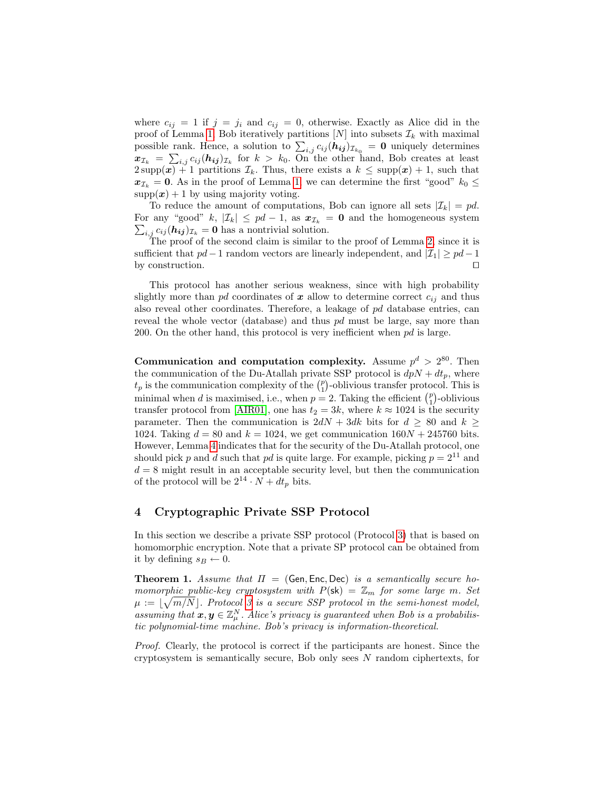where  $c_{ij} = 1$  if  $j = j_i$  and  $c_{ij} = 0$ , otherwise. Exactly as Alice did in the proof of Lemma [1,](#page-5-1) Bob iteratively partitions  $[N]$  into subsets  $\mathcal{I}_k$  with maximal possible rank. Hence, a solution to  $\sum_{i,j} c_{ij} (h_{ij})_{\mathcal{I}_{k_0}} = 0$  uniquely determines  $x_{\mathcal{I}_k} = \sum_{i,j} c_{ij} (\mathbf{h_{ij}})_{\mathcal{I}_k}$  for  $k > k_0$ . On the other hand, Bob creates at least  $2\supp(\mathbf{x})+1$  partitions  $\mathcal{I}_k$ . Thus, there exists a  $k \leq \supp(\mathbf{x})+1$ , such that  $x_{\mathcal{I}_k} = 0$ . As in the proof of Lemma [1,](#page-5-1) we can determine the first "good"  $k_0 \leq$  $supp(x) + 1$  by using majority voting.

To reduce the amount of computations, Bob can ignore all sets  $|\mathcal{I}_k| = pd$ . For any "good" k,  $|\mathcal{I}_k| \leq pd - 1$ , as  $\boldsymbol{x}_{\mathcal{I}_k} = \boldsymbol{0}$  and the homogeneous system  $\sum_{i,j} c_{ij} (\mathbf{h}_{ij})_{\mathcal{I}_k} = \mathbf{0}$  has a nontrivial solution.

The proof of the second claim is similar to the proof of Lemma [2,](#page-6-0) since it is sufficient that  $pd-1$  random vectors are linearly independent, and  $|{\mathcal{I}}_1| \geq pd-1$ by construction.  $\Box$ 

This protocol has another serious weakness, since with high probability slightly more than pd coordinates of x allow to determine correct  $c_{ij}$  and thus also reveal other coordinates. Therefore, a leakage of pd database entries, can reveal the whole vector (database) and thus pd must be large, say more than 200. On the other hand, this protocol is very inefficient when  $pd$  is large.

Communication and computation complexity. Assume  $p^d > 2^{80}$ . Then the communication of the Du-Atallah private SSP protocol is  $dpN + dt_p$ , where  $t_p$  is the communication complexity of the  $\binom{p}{1}$ -oblivious transfer protocol. This is minimal when d is maximised, i.e., when  $p = 2$ . Taking the efficient  $\binom{p}{1}$ -oblivious transfer protocol from [\[AIR01\]](#page-13-2), one has  $t_2 = 3k$ , where  $k \approx 1024$  is the security parameter. Then the communication is  $2dN + 3dk$  bits for  $d \geq 80$  and  $k \geq$ 1024. Taking  $d = 80$  and  $k = 1024$ , we get communication  $160N + 245760$  bits. However, Lemma [4](#page-8-1) indicates that for the security of the Du-Atallah protocol, one should pick p and d such that pd is quite large. For example, picking  $p = 2^{11}$  and  $d = 8$  might result in an acceptable security level, but then the communication of the protocol will be  $2^{14} \cdot N + dt_p$  bits.

# <span id="page-9-0"></span>4 Cryptographic Private SSP Protocol

In this section we describe a private SSP protocol (Protocol [3\)](#page-10-0) that is based on homomorphic encryption. Note that a private SP protocol can be obtained from it by defining  $s_B \leftarrow 0$ .

**Theorem 1.** Assume that  $\Pi = (\mathsf{Gen}, \mathsf{Enc}, \mathsf{Dec})$  is a semantically secure homomorphic public-key cryptosystem with  $P(\mathsf{sk}) = \mathbb{Z}_m$  for some large m. Set  $\mu := |\sqrt{m/N}|$ . Protocol [3](#page-10-0) is a secure SSP protocol in the semi-honest model, assuming that  $x, y \in \mathbb{Z}_{\mu}^N$ . Alice's privacy is guaranteed when Bob is a probabilistic polynomial-time machine. Bob's privacy is information-theoretical.

Proof. Clearly, the protocol is correct if the participants are honest. Since the cryptosystem is semantically secure, Bob only sees  $N$  random ciphertexts, for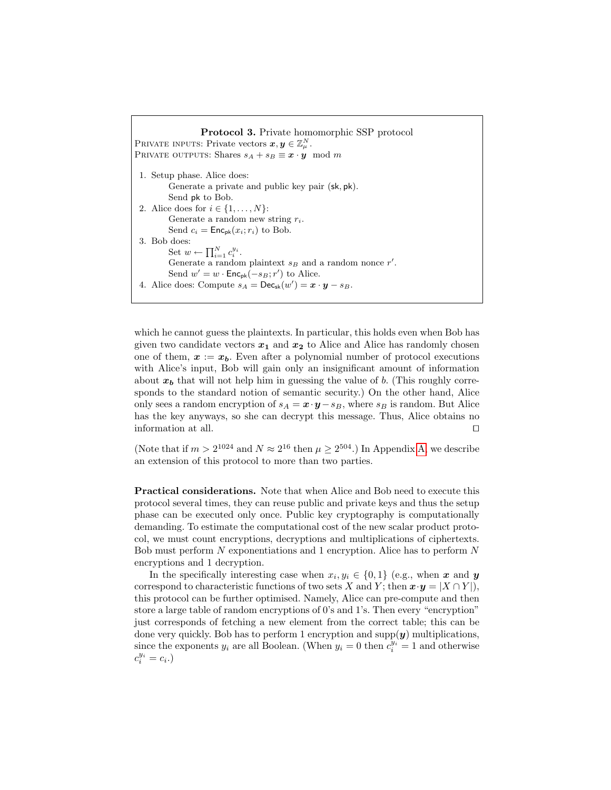<span id="page-10-0"></span>Protocol 3. Private homomorphic SSP protocol PRIVATE INPUTS: Private vectors  $\boldsymbol{x}, \boldsymbol{y} \in \mathbb{Z}_{\mu}^N$ . PRIVATE OUTPUTS: Shares  $s_A + s_B \equiv x \cdot y \mod m$ 1. Setup phase. Alice does: Generate a private and public key pair (sk, pk). Send pk to Bob. 2. Alice does for  $i \in \{1, \ldots, N\}$ : Generate a random new string  $r_i$ . Send  $c_i = \mathsf{Enc}_{\mathsf{pk}}(x_i; r_i)$  to Bob. 3. Bob does: Set  $w \leftarrow \prod_{i=1}^N c_i^{y_i}$ . Generate a random plaintext  $s_B$  and a random nonce  $r'$ . Send  $w' = w \cdot \mathsf{Enc}_{pk}(-s_B; r')$  to Alice. 4. Alice does: Compute  $s_A = \mathsf{Dec}_{\mathsf{sk}}(w') = x \cdot y - s_B$ .

which he cannot guess the plaintexts. In particular, this holds even when Bob has given two candidate vectors  $x_1$  and  $x_2$  to Alice and Alice has randomly chosen one of them,  $x := x_b$ . Even after a polynomial number of protocol executions with Alice's input, Bob will gain only an insignificant amount of information about  $x_b$  that will not help him in guessing the value of b. (This roughly corresponds to the standard notion of semantic security.) On the other hand, Alice only sees a random encryption of  $s_A = x \cdot y - s_B$ , where  $s_B$  is random. But Alice has the key anyways, so she can decrypt this message. Thus, Alice obtains no information at all.  $\Box$ 

(Note that if  $m > 2^{1024}$  and  $N \approx 2^{16}$  then  $\mu \ge 2^{504}$ .) In Appendix [A,](#page-15-5) we describe an extension of this protocol to more than two parties.

Practical considerations. Note that when Alice and Bob need to execute this protocol several times, they can reuse public and private keys and thus the setup phase can be executed only once. Public key cryptography is computationally demanding. To estimate the computational cost of the new scalar product protocol, we must count encryptions, decryptions and multiplications of ciphertexts. Bob must perform N exponentiations and 1 encryption. Alice has to perform N encryptions and 1 decryption.

In the specifically interesting case when  $x_i, y_i \in \{0, 1\}$  (e.g., when x and y correspond to characteristic functions of two sets X and Y; then  $\mathbf{x} \cdot \mathbf{y} = |X \cap Y|$ , this protocol can be further optimised. Namely, Alice can pre-compute and then store a large table of random encryptions of 0's and 1's. Then every "encryption" just corresponds of fetching a new element from the correct table; this can be done very quickly. Bob has to perform 1 encryption and  $\text{supp}(\boldsymbol{y})$  multiplications, since the exponents  $y_i$  are all Boolean. (When  $y_i = 0$  then  $c_i^{y_i} = 1$  and otherwise  $c_i^{y_i} = c_i.$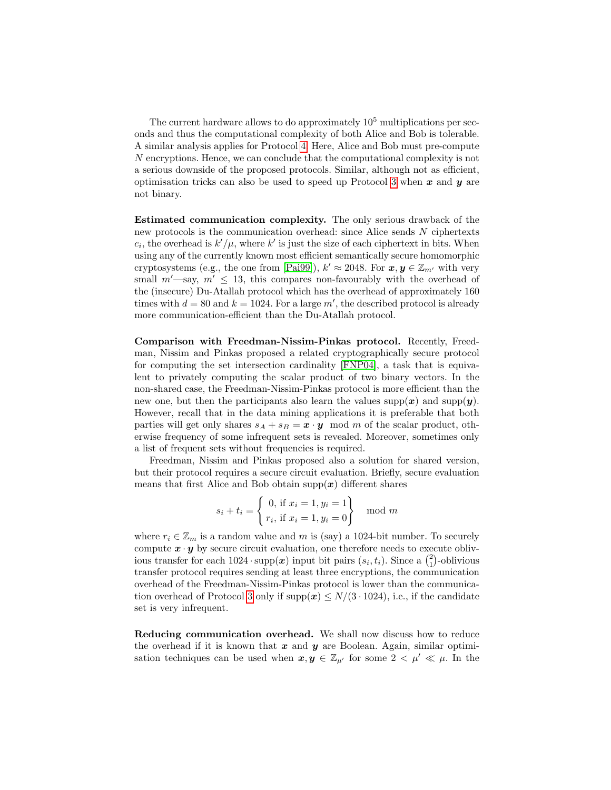The current hardware allows to do approximately  $10^5$  multiplications per seconds and thus the computational complexity of both Alice and Bob is tolerable. A similar analysis applies for Protocol [4.](#page-16-0) Here, Alice and Bob must pre-compute N encryptions. Hence, we can conclude that the computational complexity is not a serious downside of the proposed protocols. Similar, although not as efficient, optimisation tricks can also be used to speed up Protocol [3](#page-10-0) when  $x$  and  $y$  are not binary.

Estimated communication complexity. The only serious drawback of the new protocols is the communication overhead: since Alice sends N ciphertexts  $c_i$ , the overhead is  $k'/\mu$ , where  $k'$  is just the size of each ciphertext in bits. When using any of the currently known most efficient semantically secure homomorphic cryptosystems (e.g., the one from [\[Pai99\]](#page-15-2)),  $k' \approx 2048$ . For  $x, y \in \mathbb{Z}_{m'}$  with very small  $m'$ —say,  $m' \leq 13$ , this compares non-favourably with the overhead of the (insecure) Du-Atallah protocol which has the overhead of approximately 160 times with  $d = 80$  and  $k = 1024$ . For a large m', the described protocol is already more communication-efficient than the Du-Atallah protocol.

Comparison with Freedman-Nissim-Pinkas protocol. Recently, Freedman, Nissim and Pinkas proposed a related cryptographically secure protocol for computing the set intersection cardinality [\[FNP04\]](#page-14-8), a task that is equivalent to privately computing the scalar product of two binary vectors. In the non-shared case, the Freedman-Nissim-Pinkas protocol is more efficient than the new one, but then the participants also learn the values supp $(x)$  and supp $(y)$ . However, recall that in the data mining applications it is preferable that both parties will get only shares  $s_A + s_B = \mathbf{x} \cdot \mathbf{y} \mod m$  of the scalar product, otherwise frequency of some infrequent sets is revealed. Moreover, sometimes only a list of frequent sets without frequencies is required.

Freedman, Nissim and Pinkas proposed also a solution for shared version, but their protocol requires a secure circuit evaluation. Briefly, secure evaluation means that first Alice and Bob obtain  $supp(x)$  different shares

$$
s_i + t_i = \begin{cases} 0, \text{ if } x_i = 1, y_i = 1 \\ r_i, \text{ if } x_i = 1, y_i = 0 \end{cases} \mod m
$$

where  $r_i \in \mathbb{Z}_m$  is a random value and m is (say) a 1024-bit number. To securely compute  $x \cdot y$  by secure circuit evaluation, one therefore needs to execute oblivious transfer for each  $1024 \cdot \text{supp}(\boldsymbol{x})$  input bit pairs  $(s_i, t_i)$ . Since a  $\binom{2}{1}$ -oblivious transfer protocol requires sending at least three encryptions, the communication overhead of the Freedman-Nissim-Pinkas protocol is lower than the communica-tion overhead of Protocol [3](#page-10-0) only if  $\text{supp}(\boldsymbol{x}) \leq N/(3 \cdot 1024)$ , i.e., if the candidate set is very infrequent.

Reducing communication overhead. We shall now discuss how to reduce the overhead if it is known that  $x$  and  $y$  are Boolean. Again, similar optimisation techniques can be used when  $x, y \in \mathbb{Z}_{\mu'}$  for some  $2 < \mu' \ll \mu$ . In the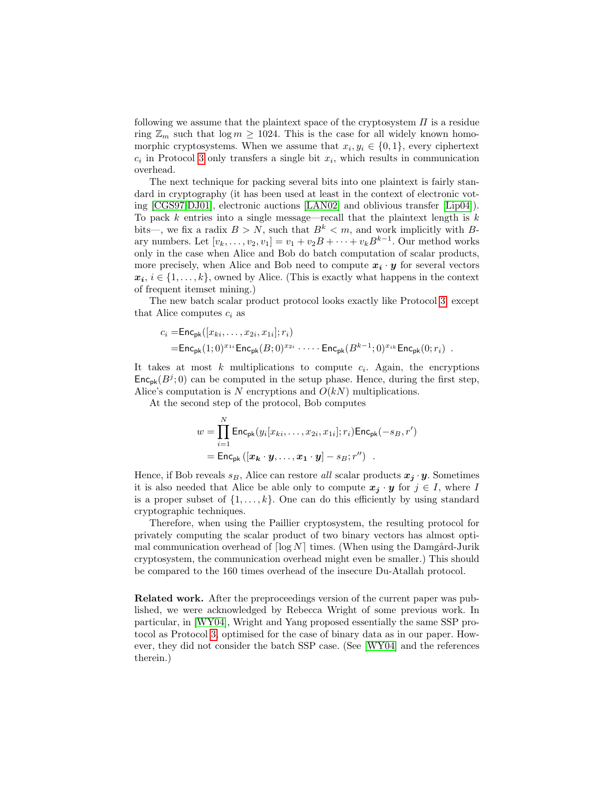following we assume that the plaintext space of the cryptosystem  $\Pi$  is a residue ring  $\mathbb{Z}_m$  such that  $\log m \geq 1024$ . This is the case for all widely known homomorphic cryptosystems. When we assume that  $x_i, y_i \in \{0, 1\}$ , every ciphertext  $c_i$  in Protocol [3](#page-10-0) only transfers a single bit  $x_i$ , which results in communication overhead.

The next technique for packing several bits into one plaintext is fairly standard in cryptography (it has been used at least in the context of electronic voting [\[CGS97,](#page-14-9)[DJ01\]](#page-14-5), electronic auctions [\[LAN02\]](#page-14-10) and oblivious transfer [\[Lip04\]](#page-14-6)). To pack  $k$  entries into a single message—recall that the plaintext length is  $k$ bits—, we fix a radix  $B > N$ , such that  $B^k < m$ , and work implicitly with Bary numbers. Let  $[v_k, \ldots, v_2, v_1] = v_1 + v_2B + \cdots + v_kB^{k-1}$ . Our method works only in the case when Alice and Bob do batch computation of scalar products, more precisely, when Alice and Bob need to compute  $x_i \cdot y$  for several vectors  $x_i, i \in \{1, \ldots, k\}$ , owned by Alice. (This is exactly what happens in the context of frequent itemset mining.)

The new batch scalar product protocol looks exactly like Protocol [3,](#page-10-0) except that Alice computes  $c_i$  as

$$
c_i = \text{Enc}_{\text{pk}}([x_{ki}, \dots, x_{2i}, x_{1i}]; r_i)
$$
  
= Enc\_{\text{pk}}(1; 0)^{x\_{1i}} Enc\_{\text{pk}}(B; 0)^{x\_{2i}} \cdot \dots \cdot Enc\_{\text{pk}}(B^{k-1}; 0)^{x\_{ik}} Enc\_{\text{pk}}(0; r\_i) .

It takes at most  $k$  multiplications to compute  $c_i$ . Again, the encryptions  $\mathsf{Enc}_{\mathsf{pk}}(B^j; 0)$  can be computed in the setup phase. Hence, during the first step, Alice's computation is N encryptions and  $O(kN)$  multiplications.

At the second step of the protocol, Bob computes

$$
w = \prod_{i=1}^{N} \text{Enc}_{\text{pk}}(y_i[x_{ki}, \dots, x_{2i}, x_{1i}]; r_i) \text{Enc}_{\text{pk}}(-s_B, r')
$$
  
= Enc\_{\text{pk}}([x\_k \cdot y, \dots, x\_1 \cdot y] - s\_B; r'').

Hence, if Bob reveals  $s_B$ , Alice can restore all scalar products  $x_j \cdot y$ . Sometimes it is also needed that Alice be able only to compute  $x_j \cdot y$  for  $j \in I$ , where I is a proper subset of  $\{1, \ldots, k\}$ . One can do this efficiently by using standard cryptographic techniques.

Therefore, when using the Paillier cryptosystem, the resulting protocol for privately computing the scalar product of two binary vectors has almost optimal communication overhead of  $\lceil \log N \rceil$  times. (When using the Damgård-Jurik cryptosystem, the communication overhead might even be smaller.) This should be compared to the 160 times overhead of the insecure Du-Atallah protocol.

Related work. After the preproceedings version of the current paper was published, we were acknowledged by Rebecca Wright of some previous work. In particular, in [\[WY04\]](#page-15-6), Wright and Yang proposed essentially the same SSP protocol as Protocol [3,](#page-10-0) optimised for the case of binary data as in our paper. However, they did not consider the batch SSP case. (See [\[WY04\]](#page-15-6) and the references therein.)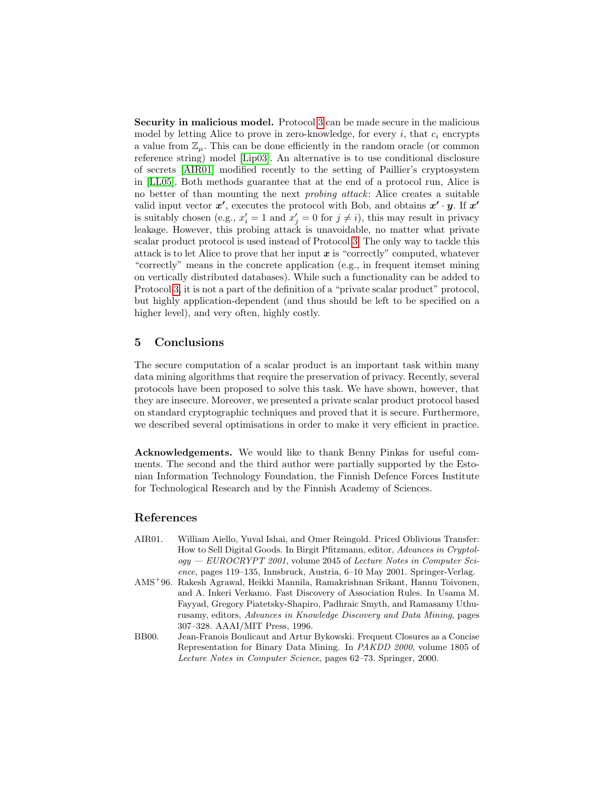Security in malicious model. Protocol [3](#page-10-0) can be made secure in the malicious model by letting Alice to prove in zero-knowledge, for every i, that  $c_i$  encrypts a value from  $\mathbb{Z}_{\mu}$ . This can be done efficiently in the random oracle (or common reference string) model [\[Lip03\]](#page-14-11). An alternative is to use conditional disclosure of secrets [\[AIR01\]](#page-13-2) modified recently to the setting of Paillier's cryptosystem in [\[LL05\]](#page-14-12). Both methods guarantee that at the end of a protocol run, Alice is no better of than mounting the next probing attack: Alice creates a suitable valid input vector  $x'$ , executes the protocol with Bob, and obtains  $x' \cdot y$ . If  $x'$ is suitably chosen (e.g.,  $x'_i = 1$  and  $x'_j = 0$  for  $j \neq i$ ), this may result in privacy leakage. However, this probing attack is unavoidable, no matter what private scalar product protocol is used instead of Protocol [3.](#page-10-0) The only way to tackle this attack is to let Alice to prove that her input  $x$  is "correctly" computed, whatever "correctly" means in the concrete application (e.g., in frequent itemset mining on vertically distributed databases). While such a functionality can be added to Protocol [3,](#page-10-0) it is not a part of the definition of a "private scalar product" protocol, but highly application-dependent (and thus should be left to be specified on a higher level), and very often, highly costly.

## 5 Conclusions

The secure computation of a scalar product is an important task within many data mining algorithms that require the preservation of privacy. Recently, several protocols have been proposed to solve this task. We have shown, however, that they are insecure. Moreover, we presented a private scalar product protocol based on standard cryptographic techniques and proved that it is secure. Furthermore, we described several optimisations in order to make it very efficient in practice.

Acknowledgements. We would like to thank Benny Pinkas for useful comments. The second and the third author were partially supported by the Estonian Information Technology Foundation, the Finnish Defence Forces Institute for Technological Research and by the Finnish Academy of Sciences.

## References

- <span id="page-13-2"></span>AIR01. William Aiello, Yuval Ishai, and Omer Reingold. Priced Oblivious Transfer: How to Sell Digital Goods. In Birgit Pfitzmann, editor, Advances in Cryptol $ogy - EUROCRYPT 2001$ , volume 2045 of Lecture Notes in Computer Science, pages 119–135, Innsbruck, Austria, 6–10 May 2001. Springer-Verlag.
- <span id="page-13-0"></span>AMS<sup>+</sup>96. Rakesh Agrawal, Heikki Mannila, Ramakrishnan Srikant, Hannu Toivonen, and A. Inkeri Verkamo. Fast Discovery of Association Rules. In Usama M. Fayyad, Gregory Piatetsky-Shapiro, Padhraic Smyth, and Ramasamy Uthurusamy, editors, Advances in Knowledge Discovery and Data Mining, pages 307–328. AAAI/MIT Press, 1996.
- <span id="page-13-1"></span>BB00. Jean-Franois Boulicaut and Artur Bykowski. Frequent Closures as a Concise Representation for Binary Data Mining. In PAKDD 2000, volume 1805 of Lecture Notes in Computer Science, pages 62–73. Springer, 2000.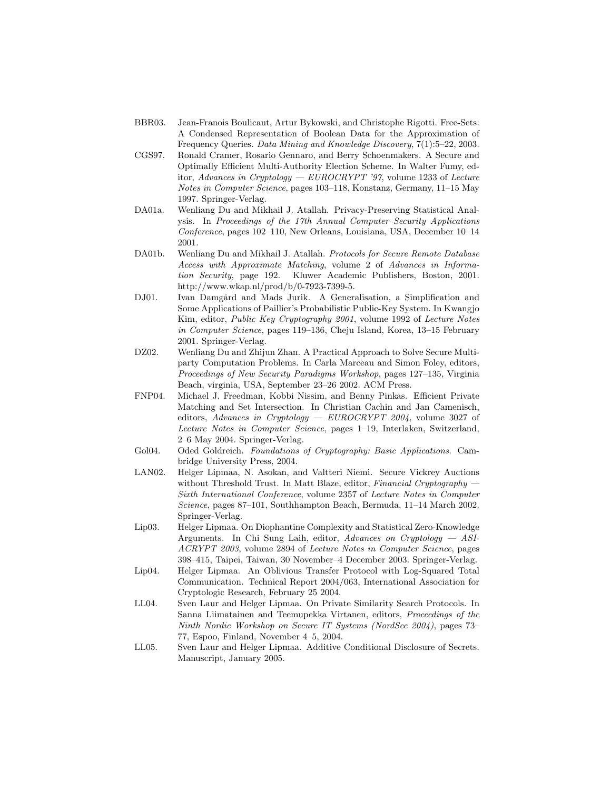- <span id="page-14-7"></span>BBR03. Jean-Franois Boulicaut, Artur Bykowski, and Christophe Rigotti. Free-Sets: A Condensed Representation of Boolean Data for the Approximation of Frequency Queries. Data Mining and Knowledge Discovery, 7(1):5–22, 2003.
- <span id="page-14-9"></span>CGS97. Ronald Cramer, Rosario Gennaro, and Berry Schoenmakers. A Secure and Optimally Efficient Multi-Authority Election Scheme. In Walter Fumy, editor, Advances in Cryptology —  $EUROCRYPT'$  '97, volume 1233 of Lecture Notes in Computer Science, pages 103–118, Konstanz, Germany, 11–15 May 1997. Springer-Verlag.
- <span id="page-14-1"></span>DA01a. Wenliang Du and Mikhail J. Atallah. Privacy-Preserving Statistical Analysis. In Proceedings of the 17th Annual Computer Security Applications Conference, pages 102–110, New Orleans, Louisiana, USA, December 10–14 2001.
- <span id="page-14-0"></span>DA01b. Wenliang Du and Mikhail J. Atallah. Protocols for Secure Remote Database Access with Approximate Matching, volume 2 of Advances in Information Security, page 192. Kluwer Academic Publishers, Boston, 2001. http://www.wkap.nl/prod/b/0-7923-7399-5.
- <span id="page-14-5"></span>DJ01. Ivan Damgård and Mads Jurik. A Generalisation, a Simplification and Some Applications of Paillier's Probabilistic Public-Key System. In Kwangjo Kim, editor, Public Key Cryptography 2001, volume 1992 of Lecture Notes in Computer Science, pages 119–136, Cheju Island, Korea, 13–15 February 2001. Springer-Verlag.
- <span id="page-14-2"></span>DZ02. Wenliang Du and Zhijun Zhan. A Practical Approach to Solve Secure Multiparty Computation Problems. In Carla Marceau and Simon Foley, editors, Proceedings of New Security Paradigms Workshop, pages 127–135, Virginia Beach, virginia, USA, September 23–26 2002. ACM Press.
- <span id="page-14-8"></span>FNP04. Michael J. Freedman, Kobbi Nissim, and Benny Pinkas. Efficient Private Matching and Set Intersection. In Christian Cachin and Jan Camenisch, editors, Advances in Cryptology — EUROCRYPT 2004, volume 3027 of Lecture Notes in Computer Science, pages 1–19, Interlaken, Switzerland, 2–6 May 2004. Springer-Verlag.
- <span id="page-14-4"></span>Gol04. Oded Goldreich. Foundations of Cryptography: Basic Applications. Cambridge University Press, 2004.
- <span id="page-14-10"></span>LAN02. Helger Lipmaa, N. Asokan, and Valtteri Niemi. Secure Vickrey Auctions without Threshold Trust. In Matt Blaze, editor, Financial Cryptography -Sixth International Conference, volume 2357 of Lecture Notes in Computer Science, pages 87–101, Southhampton Beach, Bermuda, 11–14 March 2002. Springer-Verlag.
- <span id="page-14-11"></span>Lip03. Helger Lipmaa. On Diophantine Complexity and Statistical Zero-Knowledge Arguments. In Chi Sung Laih, editor, Advances on Cryptology — ASI-ACRYPT 2003, volume 2894 of Lecture Notes in Computer Science, pages 398–415, Taipei, Taiwan, 30 November–4 December 2003. Springer-Verlag.
- <span id="page-14-6"></span>Lip04. Helger Lipmaa. An Oblivious Transfer Protocol with Log-Squared Total Communication. Technical Report 2004/063, International Association for Cryptologic Research, February 25 2004.
- <span id="page-14-3"></span>LL04. Sven Laur and Helger Lipmaa. On Private Similarity Search Protocols. In Sanna Liimatainen and Teemupekka Virtanen, editors, Proceedings of the Ninth Nordic Workshop on Secure IT Systems (NordSec 2004), pages 73– 77, Espoo, Finland, November 4–5, 2004.
- <span id="page-14-12"></span>LL05. Sven Laur and Helger Lipmaa. Additive Conditional Disclosure of Secrets. Manuscript, January 2005.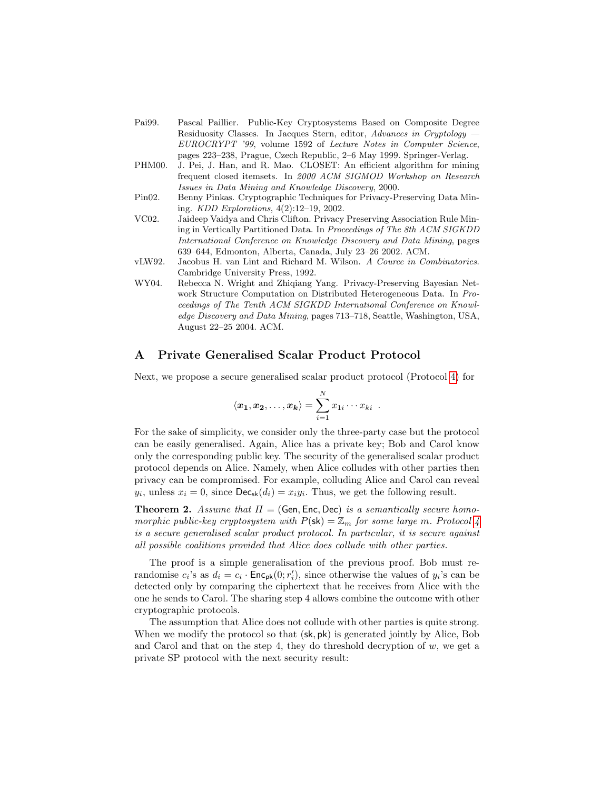- <span id="page-15-2"></span>Pai99. Pascal Paillier. Public-Key Cryptosystems Based on Composite Degree Residuosity Classes. In Jacques Stern, editor, Advances in Cryptology — EUROCRYPT '99, volume 1592 of Lecture Notes in Computer Science, pages 223–238, Prague, Czech Republic, 2–6 May 1999. Springer-Verlag.
- <span id="page-15-4"></span>PHM00. J. Pei, J. Han, and R. Mao. CLOSET: An efficient algorithm for mining frequent closed itemsets. In 2000 ACM SIGMOD Workshop on Research Issues in Data Mining and Knowledge Discovery, 2000.
- <span id="page-15-1"></span>Pin02. Benny Pinkas. Cryptographic Techniques for Privacy-Preserving Data Mining. KDD Explorations, 4(2):12–19, 2002.
- <span id="page-15-0"></span>VC02. Jaideep Vaidya and Chris Clifton. Privacy Preserving Association Rule Mining in Vertically Partitioned Data. In Proceedings of The 8th ACM SIGKDD International Conference on Knowledge Discovery and Data Mining, pages 639–644, Edmonton, Alberta, Canada, July 23–26 2002. ACM.
- <span id="page-15-3"></span>vLW92. Jacobus H. van Lint and Richard M. Wilson. A Cource in Combinatorics. Cambridge University Press, 1992.
- <span id="page-15-6"></span>WY04. Rebecca N. Wright and Zhiqiang Yang. Privacy-Preserving Bayesian Network Structure Computation on Distributed Heterogeneous Data. In Proceedings of The Tenth ACM SIGKDD International Conference on Knowledge Discovery and Data Mining, pages 713–718, Seattle, Washington, USA, August 22–25 2004. ACM.

#### <span id="page-15-5"></span>A Private Generalised Scalar Product Protocol

Next, we propose a secure generalised scalar product protocol (Protocol [4\)](#page-16-0) for

$$
\langle x_1, x_2, \ldots, x_k \rangle = \sum_{i=1}^N x_{1i} \cdots x_{ki}.
$$

For the sake of simplicity, we consider only the three-party case but the protocol can be easily generalised. Again, Alice has a private key; Bob and Carol know only the corresponding public key. The security of the generalised scalar product protocol depends on Alice. Namely, when Alice colludes with other parties then privacy can be compromised. For example, colluding Alice and Carol can reveal  $y_i$ , unless  $x_i = 0$ , since  $\mathsf{Dec}_{\mathsf{sk}}(d_i) = x_i y_i$ . Thus, we get the following result.

**Theorem 2.** Assume that  $\Pi = (Gen, Enc, Dec)$  is a semantically secure homomorphic public-key cryptosystem with  $P(\mathsf{sk}) = \mathbb{Z}_m$  for some large m. Protocol [4](#page-16-0) is a secure generalised scalar product protocol. In particular, it is secure against all possible coalitions provided that Alice does collude with other parties.

The proof is a simple generalisation of the previous proof. Bob must rerandomise  $c_i$ 's as  $d_i = c_i \cdot \text{Enc}_{pk}(0; r'_i)$ , since otherwise the values of  $y_i$ 's can be detected only by comparing the ciphertext that he receives from Alice with the one he sends to Carol. The sharing step 4 allows combine the outcome with other cryptographic protocols.

The assumption that Alice does not collude with other parties is quite strong. When we modify the protocol so that  $(\mathsf{sk}, \mathsf{pk})$  is generated jointly by Alice, Bob and Carol and that on the step 4, they do threshold decryption of  $w$ , we get a private SP protocol with the next security result: